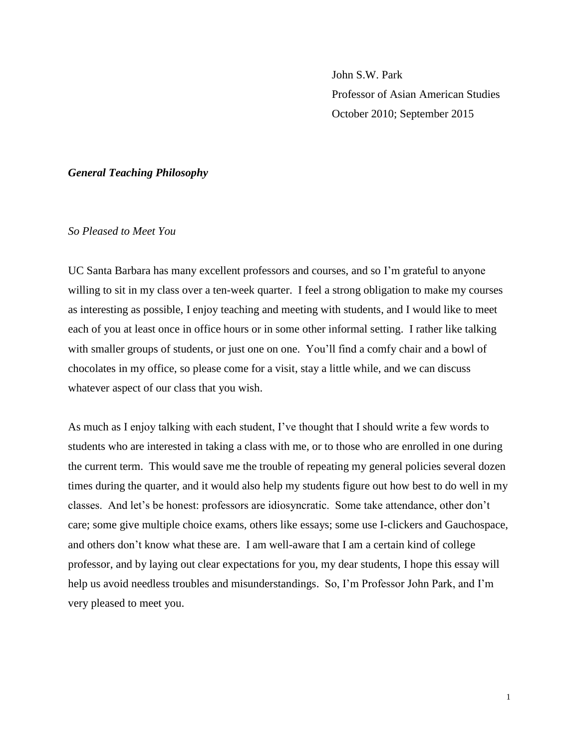John S.W. Park Professor of Asian American Studies October 2010; September 2015

#### *General Teaching Philosophy*

# *So Pleased to Meet You*

UC Santa Barbara has many excellent professors and courses, and so I'm grateful to anyone willing to sit in my class over a ten-week quarter. I feel a strong obligation to make my courses as interesting as possible, I enjoy teaching and meeting with students, and I would like to meet each of you at least once in office hours or in some other informal setting. I rather like talking with smaller groups of students, or just one on one. You'll find a comfy chair and a bowl of chocolates in my office, so please come for a visit, stay a little while, and we can discuss whatever aspect of our class that you wish.

As much as I enjoy talking with each student, I've thought that I should write a few words to students who are interested in taking a class with me, or to those who are enrolled in one during the current term. This would save me the trouble of repeating my general policies several dozen times during the quarter, and it would also help my students figure out how best to do well in my classes. And let's be honest: professors are idiosyncratic. Some take attendance, other don't care; some give multiple choice exams, others like essays; some use I-clickers and Gauchospace, and others don't know what these are. I am well-aware that I am a certain kind of college professor, and by laying out clear expectations for you, my dear students, I hope this essay will help us avoid needless troubles and misunderstandings. So, I'm Professor John Park, and I'm very pleased to meet you.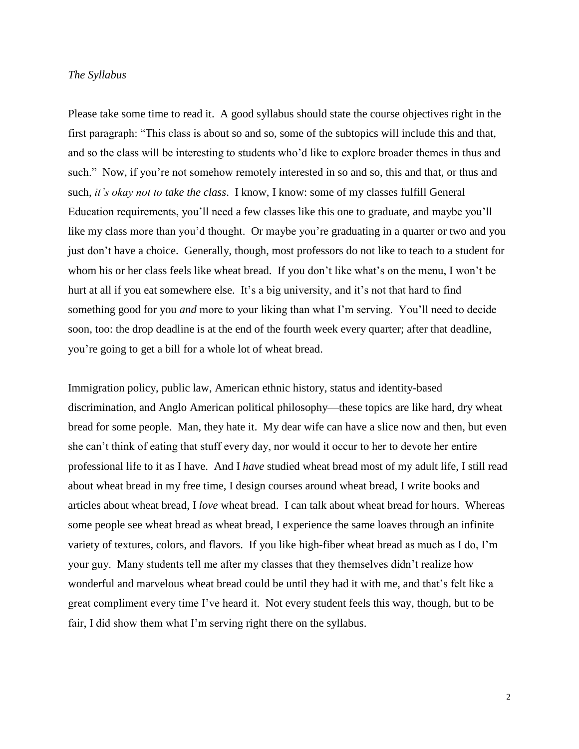#### *The Syllabus*

Please take some time to read it. A good syllabus should state the course objectives right in the first paragraph: "This class is about so and so, some of the subtopics will include this and that, and so the class will be interesting to students who'd like to explore broader themes in thus and such." Now, if you're not somehow remotely interested in so and so, this and that, or thus and such, *it's okay not to take the class*. I know, I know: some of my classes fulfill General Education requirements, you'll need a few classes like this one to graduate, and maybe you'll like my class more than you'd thought. Or maybe you're graduating in a quarter or two and you just don't have a choice. Generally, though, most professors do not like to teach to a student for whom his or her class feels like wheat bread. If you don't like what's on the menu, I won't be hurt at all if you eat somewhere else. It's a big university, and it's not that hard to find something good for you *and* more to your liking than what I'm serving. You'll need to decide soon, too: the drop deadline is at the end of the fourth week every quarter; after that deadline, you're going to get a bill for a whole lot of wheat bread.

Immigration policy, public law, American ethnic history, status and identity-based discrimination, and Anglo American political philosophy—these topics are like hard, dry wheat bread for some people. Man, they hate it. My dear wife can have a slice now and then, but even she can't think of eating that stuff every day, nor would it occur to her to devote her entire professional life to it as I have. And I *have* studied wheat bread most of my adult life, I still read about wheat bread in my free time, I design courses around wheat bread, I write books and articles about wheat bread, I *love* wheat bread. I can talk about wheat bread for hours. Whereas some people see wheat bread as wheat bread, I experience the same loaves through an infinite variety of textures, colors, and flavors. If you like high-fiber wheat bread as much as I do, I'm your guy. Many students tell me after my classes that they themselves didn't realize how wonderful and marvelous wheat bread could be until they had it with me, and that's felt like a great compliment every time I've heard it. Not every student feels this way, though, but to be fair, I did show them what I'm serving right there on the syllabus.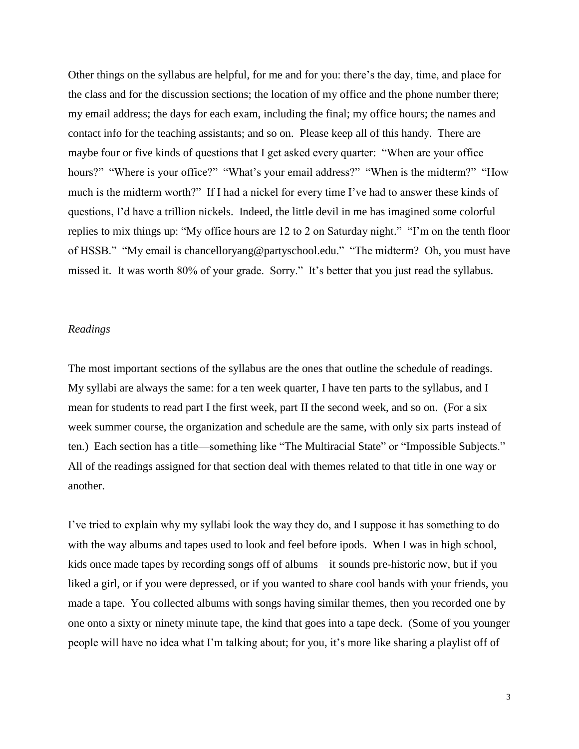Other things on the syllabus are helpful, for me and for you: there's the day, time, and place for the class and for the discussion sections; the location of my office and the phone number there; my email address; the days for each exam, including the final; my office hours; the names and contact info for the teaching assistants; and so on. Please keep all of this handy. There are maybe four or five kinds of questions that I get asked every quarter: "When are your office hours?" "Where is your office?" "What's your email address?" "When is the midterm?" "How much is the midterm worth?" If I had a nickel for every time I've had to answer these kinds of questions, I'd have a trillion nickels. Indeed, the little devil in me has imagined some colorful replies to mix things up: "My office hours are 12 to 2 on Saturday night." "I'm on the tenth floor of HSSB." "My email is chancelloryang@partyschool.edu." "The midterm? Oh, you must have missed it. It was worth 80% of your grade. Sorry." It's better that you just read the syllabus.

## *Readings*

The most important sections of the syllabus are the ones that outline the schedule of readings. My syllabi are always the same: for a ten week quarter, I have ten parts to the syllabus, and I mean for students to read part I the first week, part II the second week, and so on. (For a six week summer course, the organization and schedule are the same, with only six parts instead of ten.) Each section has a title—something like "The Multiracial State" or "Impossible Subjects." All of the readings assigned for that section deal with themes related to that title in one way or another.

I've tried to explain why my syllabi look the way they do, and I suppose it has something to do with the way albums and tapes used to look and feel before ipods. When I was in high school, kids once made tapes by recording songs off of albums—it sounds pre-historic now, but if you liked a girl, or if you were depressed, or if you wanted to share cool bands with your friends, you made a tape. You collected albums with songs having similar themes, then you recorded one by one onto a sixty or ninety minute tape, the kind that goes into a tape deck. (Some of you younger people will have no idea what I'm talking about; for you, it's more like sharing a playlist off of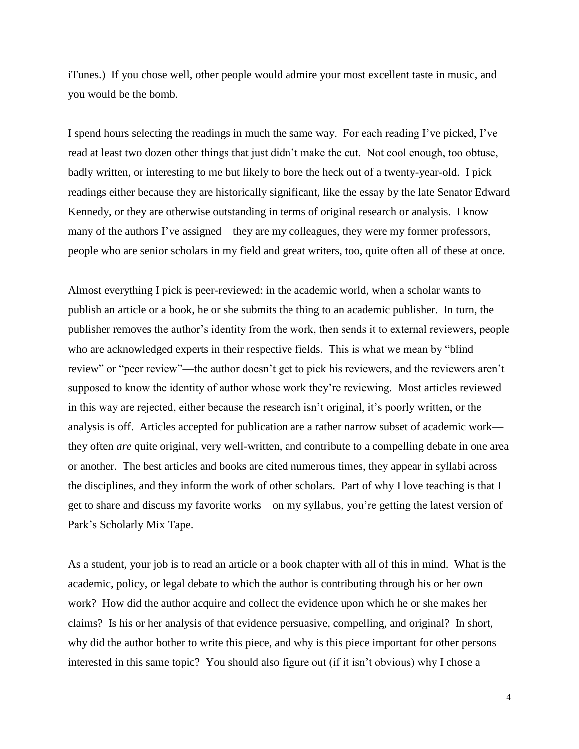iTunes.) If you chose well, other people would admire your most excellent taste in music, and you would be the bomb.

I spend hours selecting the readings in much the same way. For each reading I've picked, I've read at least two dozen other things that just didn't make the cut. Not cool enough, too obtuse, badly written, or interesting to me but likely to bore the heck out of a twenty-year-old. I pick readings either because they are historically significant, like the essay by the late Senator Edward Kennedy, or they are otherwise outstanding in terms of original research or analysis. I know many of the authors I've assigned—they are my colleagues, they were my former professors, people who are senior scholars in my field and great writers, too, quite often all of these at once.

Almost everything I pick is peer-reviewed: in the academic world, when a scholar wants to publish an article or a book, he or she submits the thing to an academic publisher. In turn, the publisher removes the author's identity from the work, then sends it to external reviewers, people who are acknowledged experts in their respective fields. This is what we mean by "blind review" or "peer review"—the author doesn't get to pick his reviewers, and the reviewers aren't supposed to know the identity of author whose work they're reviewing. Most articles reviewed in this way are rejected, either because the research isn't original, it's poorly written, or the analysis is off. Articles accepted for publication are a rather narrow subset of academic work they often *are* quite original, very well-written, and contribute to a compelling debate in one area or another. The best articles and books are cited numerous times, they appear in syllabi across the disciplines, and they inform the work of other scholars. Part of why I love teaching is that I get to share and discuss my favorite works—on my syllabus, you're getting the latest version of Park's Scholarly Mix Tape.

As a student, your job is to read an article or a book chapter with all of this in mind. What is the academic, policy, or legal debate to which the author is contributing through his or her own work? How did the author acquire and collect the evidence upon which he or she makes her claims? Is his or her analysis of that evidence persuasive, compelling, and original? In short, why did the author bother to write this piece, and why is this piece important for other persons interested in this same topic? You should also figure out (if it isn't obvious) why I chose a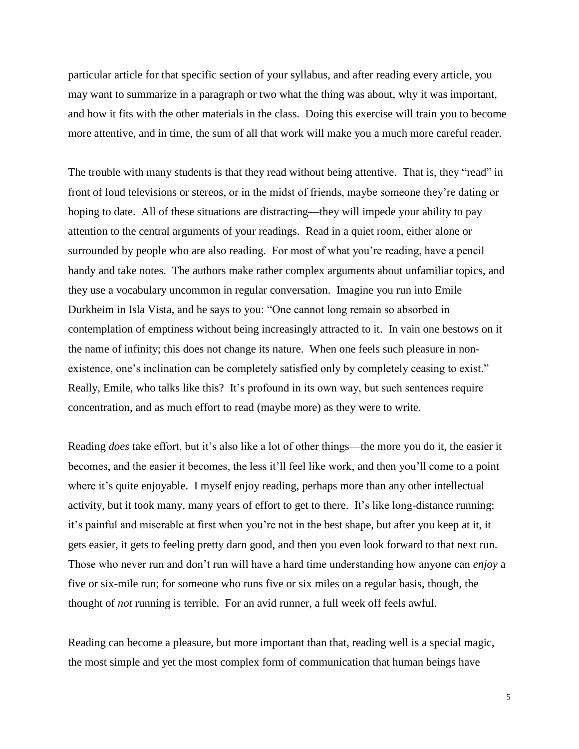particular article for that specific section of your syllabus, and after reading every article, you may want to summarize in a paragraph or two what the thing was about, why it was important, and how it fits with the other materials in the class. Doing this exercise will train you to become more attentive, and in time, the sum of all that work will make you a much more careful reader.

The trouble with many students is that they read without being attentive. That is, they "read" in front of loud televisions or stereos, or in the midst of friends, maybe someone they're dating or hoping to date. All of these situations are distracting—they will impede your ability to pay attention to the central arguments of your readings. Read in a quiet room, either alone or surrounded by people who are also reading. For most of what you're reading, have a pencil handy and take notes. The authors make rather complex arguments about unfamiliar topics, and they use a vocabulary uncommon in regular conversation. Imagine you run into Emile Durkheim in Isla Vista, and he says to you: "One cannot long remain so absorbed in contemplation of emptiness without being increasingly attracted to it. In vain one bestows on it the name of infinity; this does not change its nature. When one feels such pleasure in nonexistence, one's inclination can be completely satisfied only by completely ceasing to exist." Really, Emile, who talks like this? It's profound in its own way, but such sentences require concentration, and as much effort to read (maybe more) as they were to write.

Reading *does* take effort, but it's also like a lot of other things—the more you do it, the easier it becomes, and the easier it becomes, the less it'll feel like work, and then you'll come to a point where it's quite enjoyable. I myself enjoy reading, perhaps more than any other intellectual activity, but it took many, many years of effort to get to there. It's like long-distance running: it's painful and miserable at first when you're not in the best shape, but after you keep at it, it gets easier, it gets to feeling pretty darn good, and then you even look forward to that next run. Those who never run and don't run will have a hard time understanding how anyone can *enjoy* a five or six-mile run; for someone who runs five or six miles on a regular basis, though, the thought of *not* running is terrible. For an avid runner, a full week off feels awful.

Reading can become a pleasure, but more important than that, reading well is a special magic, the most simple and yet the most complex form of communication that human beings have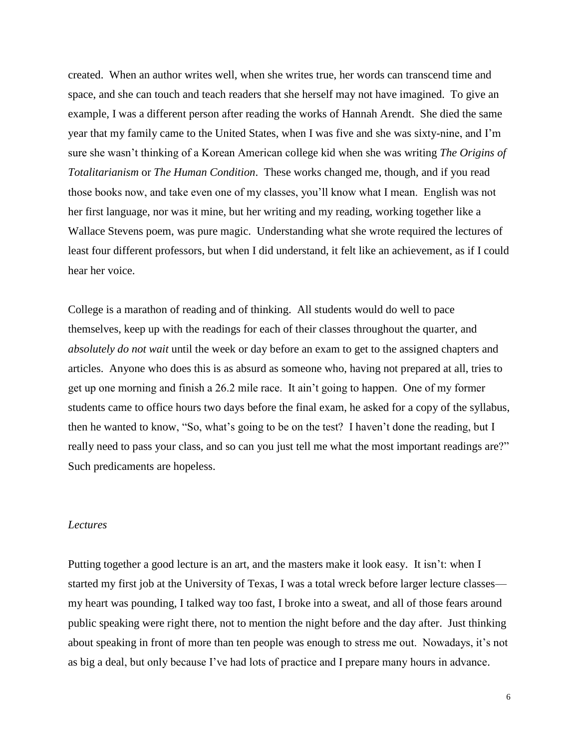created. When an author writes well, when she writes true, her words can transcend time and space, and she can touch and teach readers that she herself may not have imagined. To give an example, I was a different person after reading the works of Hannah Arendt. She died the same year that my family came to the United States, when I was five and she was sixty-nine, and I'm sure she wasn't thinking of a Korean American college kid when she was writing *The Origins of Totalitarianism* or *The Human Condition*. These works changed me, though, and if you read those books now, and take even one of my classes, you'll know what I mean. English was not her first language, nor was it mine, but her writing and my reading, working together like a Wallace Stevens poem, was pure magic. Understanding what she wrote required the lectures of least four different professors, but when I did understand, it felt like an achievement, as if I could hear her voice.

College is a marathon of reading and of thinking. All students would do well to pace themselves, keep up with the readings for each of their classes throughout the quarter, and *absolutely do not wait* until the week or day before an exam to get to the assigned chapters and articles. Anyone who does this is as absurd as someone who, having not prepared at all, tries to get up one morning and finish a 26.2 mile race. It ain't going to happen. One of my former students came to office hours two days before the final exam, he asked for a copy of the syllabus, then he wanted to know, "So, what's going to be on the test? I haven't done the reading, but I really need to pass your class, and so can you just tell me what the most important readings are?" Such predicaments are hopeless.

## *Lectures*

Putting together a good lecture is an art, and the masters make it look easy. It isn't: when I started my first job at the University of Texas, I was a total wreck before larger lecture classes my heart was pounding, I talked way too fast, I broke into a sweat, and all of those fears around public speaking were right there, not to mention the night before and the day after. Just thinking about speaking in front of more than ten people was enough to stress me out. Nowadays, it's not as big a deal, but only because I've had lots of practice and I prepare many hours in advance.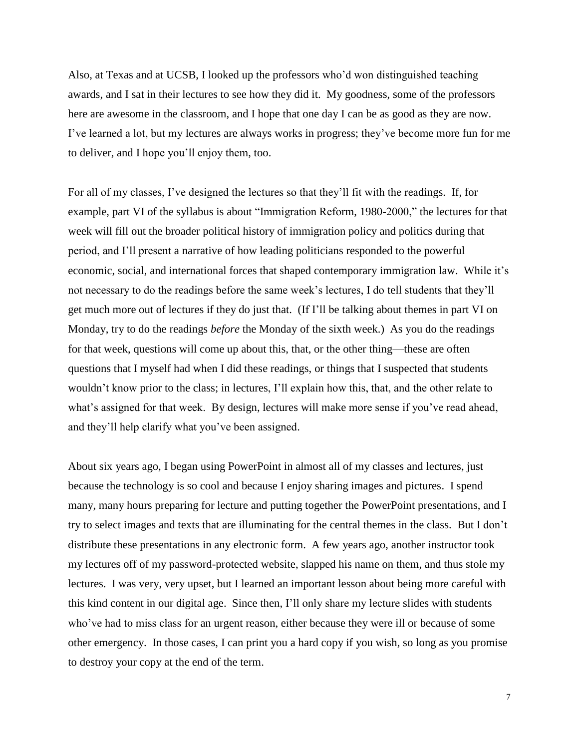Also, at Texas and at UCSB, I looked up the professors who'd won distinguished teaching awards, and I sat in their lectures to see how they did it. My goodness, some of the professors here are awesome in the classroom, and I hope that one day I can be as good as they are now. I've learned a lot, but my lectures are always works in progress; they've become more fun for me to deliver, and I hope you'll enjoy them, too.

For all of my classes, I've designed the lectures so that they'll fit with the readings. If, for example, part VI of the syllabus is about "Immigration Reform, 1980-2000," the lectures for that week will fill out the broader political history of immigration policy and politics during that period, and I'll present a narrative of how leading politicians responded to the powerful economic, social, and international forces that shaped contemporary immigration law. While it's not necessary to do the readings before the same week's lectures, I do tell students that they'll get much more out of lectures if they do just that. (If I'll be talking about themes in part VI on Monday, try to do the readings *before* the Monday of the sixth week.) As you do the readings for that week, questions will come up about this, that, or the other thing—these are often questions that I myself had when I did these readings, or things that I suspected that students wouldn't know prior to the class; in lectures, I'll explain how this, that, and the other relate to what's assigned for that week. By design, lectures will make more sense if you've read ahead, and they'll help clarify what you've been assigned.

About six years ago, I began using PowerPoint in almost all of my classes and lectures, just because the technology is so cool and because I enjoy sharing images and pictures. I spend many, many hours preparing for lecture and putting together the PowerPoint presentations, and I try to select images and texts that are illuminating for the central themes in the class. But I don't distribute these presentations in any electronic form. A few years ago, another instructor took my lectures off of my password-protected website, slapped his name on them, and thus stole my lectures. I was very, very upset, but I learned an important lesson about being more careful with this kind content in our digital age. Since then, I'll only share my lecture slides with students who've had to miss class for an urgent reason, either because they were ill or because of some other emergency. In those cases, I can print you a hard copy if you wish, so long as you promise to destroy your copy at the end of the term.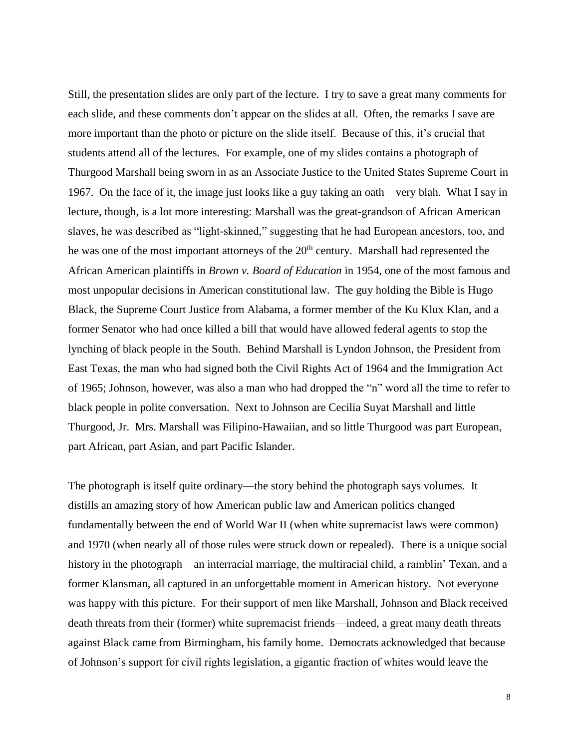Still, the presentation slides are only part of the lecture. I try to save a great many comments for each slide, and these comments don't appear on the slides at all. Often, the remarks I save are more important than the photo or picture on the slide itself. Because of this, it's crucial that students attend all of the lectures. For example, one of my slides contains a photograph of Thurgood Marshall being sworn in as an Associate Justice to the United States Supreme Court in 1967. On the face of it, the image just looks like a guy taking an oath—very blah. What I say in lecture, though, is a lot more interesting: Marshall was the great-grandson of African American slaves, he was described as "light-skinned," suggesting that he had European ancestors, too, and he was one of the most important attorneys of the  $20<sup>th</sup>$  century. Marshall had represented the African American plaintiffs in *Brown v. Board of Education* in 1954, one of the most famous and most unpopular decisions in American constitutional law. The guy holding the Bible is Hugo Black, the Supreme Court Justice from Alabama, a former member of the Ku Klux Klan, and a former Senator who had once killed a bill that would have allowed federal agents to stop the lynching of black people in the South. Behind Marshall is Lyndon Johnson, the President from East Texas, the man who had signed both the Civil Rights Act of 1964 and the Immigration Act of 1965; Johnson, however, was also a man who had dropped the "n" word all the time to refer to black people in polite conversation. Next to Johnson are Cecilia Suyat Marshall and little Thurgood, Jr. Mrs. Marshall was Filipino-Hawaiian, and so little Thurgood was part European, part African, part Asian, and part Pacific Islander.

The photograph is itself quite ordinary—the story behind the photograph says volumes. It distills an amazing story of how American public law and American politics changed fundamentally between the end of World War II (when white supremacist laws were common) and 1970 (when nearly all of those rules were struck down or repealed). There is a unique social history in the photograph—an interracial marriage, the multiracial child, a ramblin' Texan, and a former Klansman, all captured in an unforgettable moment in American history. Not everyone was happy with this picture. For their support of men like Marshall, Johnson and Black received death threats from their (former) white supremacist friends—indeed, a great many death threats against Black came from Birmingham, his family home. Democrats acknowledged that because of Johnson's support for civil rights legislation, a gigantic fraction of whites would leave the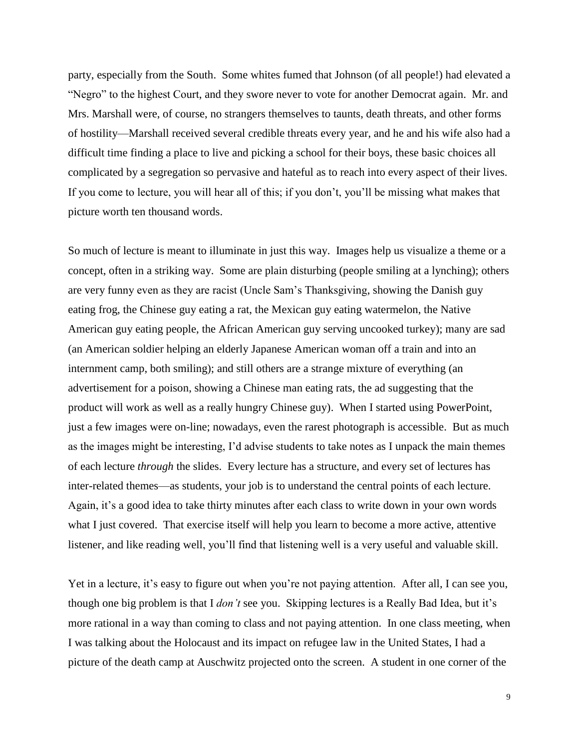party, especially from the South. Some whites fumed that Johnson (of all people!) had elevated a "Negro" to the highest Court, and they swore never to vote for another Democrat again. Mr. and Mrs. Marshall were, of course, no strangers themselves to taunts, death threats, and other forms of hostility—Marshall received several credible threats every year, and he and his wife also had a difficult time finding a place to live and picking a school for their boys, these basic choices all complicated by a segregation so pervasive and hateful as to reach into every aspect of their lives. If you come to lecture, you will hear all of this; if you don't, you'll be missing what makes that picture worth ten thousand words.

So much of lecture is meant to illuminate in just this way. Images help us visualize a theme or a concept, often in a striking way. Some are plain disturbing (people smiling at a lynching); others are very funny even as they are racist (Uncle Sam's Thanksgiving, showing the Danish guy eating frog, the Chinese guy eating a rat, the Mexican guy eating watermelon, the Native American guy eating people, the African American guy serving uncooked turkey); many are sad (an American soldier helping an elderly Japanese American woman off a train and into an internment camp, both smiling); and still others are a strange mixture of everything (an advertisement for a poison, showing a Chinese man eating rats, the ad suggesting that the product will work as well as a really hungry Chinese guy). When I started using PowerPoint, just a few images were on-line; nowadays, even the rarest photograph is accessible. But as much as the images might be interesting, I'd advise students to take notes as I unpack the main themes of each lecture *through* the slides. Every lecture has a structure, and every set of lectures has inter-related themes—as students, your job is to understand the central points of each lecture. Again, it's a good idea to take thirty minutes after each class to write down in your own words what I just covered. That exercise itself will help you learn to become a more active, attentive listener, and like reading well, you'll find that listening well is a very useful and valuable skill.

Yet in a lecture, it's easy to figure out when you're not paying attention. After all, I can see you, though one big problem is that I *don't* see you. Skipping lectures is a Really Bad Idea, but it's more rational in a way than coming to class and not paying attention. In one class meeting, when I was talking about the Holocaust and its impact on refugee law in the United States, I had a picture of the death camp at Auschwitz projected onto the screen. A student in one corner of the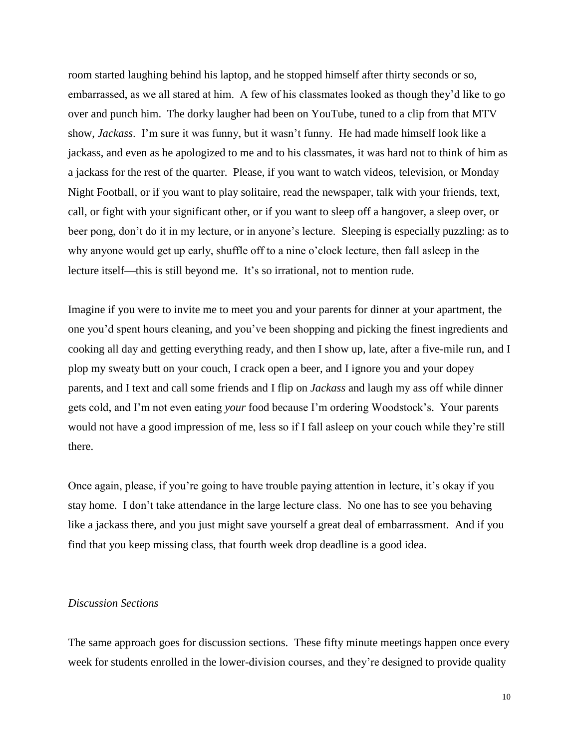room started laughing behind his laptop, and he stopped himself after thirty seconds or so, embarrassed, as we all stared at him. A few of his classmates looked as though they'd like to go over and punch him. The dorky laugher had been on YouTube, tuned to a clip from that MTV show, *Jackass*. I'm sure it was funny, but it wasn't funny. He had made himself look like a jackass, and even as he apologized to me and to his classmates, it was hard not to think of him as a jackass for the rest of the quarter. Please, if you want to watch videos, television, or Monday Night Football, or if you want to play solitaire, read the newspaper, talk with your friends, text, call, or fight with your significant other, or if you want to sleep off a hangover, a sleep over, or beer pong, don't do it in my lecture, or in anyone's lecture. Sleeping is especially puzzling: as to why anyone would get up early, shuffle off to a nine o'clock lecture, then fall asleep in the lecture itself—this is still beyond me. It's so irrational, not to mention rude.

Imagine if you were to invite me to meet you and your parents for dinner at your apartment, the one you'd spent hours cleaning, and you've been shopping and picking the finest ingredients and cooking all day and getting everything ready, and then I show up, late, after a five-mile run, and I plop my sweaty butt on your couch, I crack open a beer, and I ignore you and your dopey parents, and I text and call some friends and I flip on *Jackass* and laugh my ass off while dinner gets cold, and I'm not even eating *your* food because I'm ordering Woodstock's. Your parents would not have a good impression of me, less so if I fall asleep on your couch while they're still there.

Once again, please, if you're going to have trouble paying attention in lecture, it's okay if you stay home. I don't take attendance in the large lecture class. No one has to see you behaving like a jackass there, and you just might save yourself a great deal of embarrassment. And if you find that you keep missing class, that fourth week drop deadline is a good idea.

# *Discussion Sections*

The same approach goes for discussion sections. These fifty minute meetings happen once every week for students enrolled in the lower-division courses, and they're designed to provide quality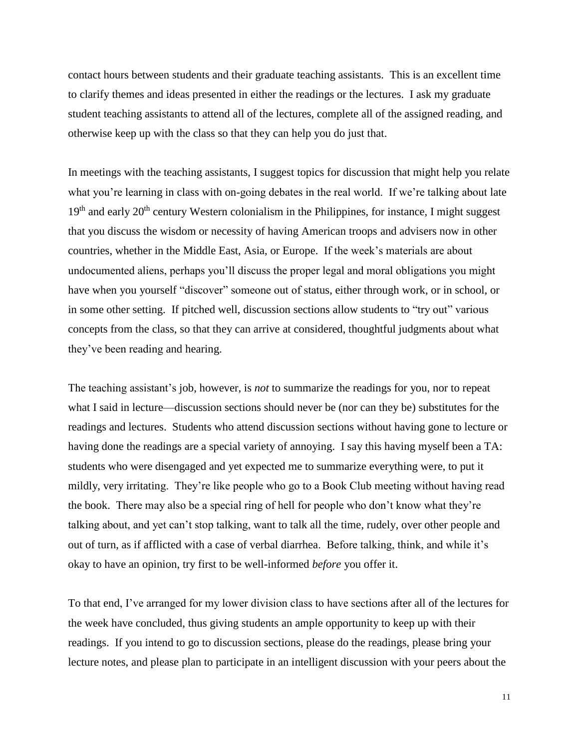contact hours between students and their graduate teaching assistants. This is an excellent time to clarify themes and ideas presented in either the readings or the lectures. I ask my graduate student teaching assistants to attend all of the lectures, complete all of the assigned reading, and otherwise keep up with the class so that they can help you do just that.

In meetings with the teaching assistants, I suggest topics for discussion that might help you relate what you're learning in class with on-going debates in the real world. If we're talking about late  $19<sup>th</sup>$  and early  $20<sup>th</sup>$  century Western colonialism in the Philippines, for instance, I might suggest that you discuss the wisdom or necessity of having American troops and advisers now in other countries, whether in the Middle East, Asia, or Europe. If the week's materials are about undocumented aliens, perhaps you'll discuss the proper legal and moral obligations you might have when you yourself "discover" someone out of status, either through work, or in school, or in some other setting. If pitched well, discussion sections allow students to "try out" various concepts from the class, so that they can arrive at considered, thoughtful judgments about what they've been reading and hearing.

The teaching assistant's job, however, is *not* to summarize the readings for you, nor to repeat what I said in lecture—discussion sections should never be (nor can they be) substitutes for the readings and lectures. Students who attend discussion sections without having gone to lecture or having done the readings are a special variety of annoying. I say this having myself been a TA: students who were disengaged and yet expected me to summarize everything were, to put it mildly, very irritating. They're like people who go to a Book Club meeting without having read the book. There may also be a special ring of hell for people who don't know what they're talking about, and yet can't stop talking, want to talk all the time, rudely, over other people and out of turn, as if afflicted with a case of verbal diarrhea. Before talking, think, and while it's okay to have an opinion, try first to be well-informed *before* you offer it.

To that end, I've arranged for my lower division class to have sections after all of the lectures for the week have concluded, thus giving students an ample opportunity to keep up with their readings. If you intend to go to discussion sections, please do the readings, please bring your lecture notes, and please plan to participate in an intelligent discussion with your peers about the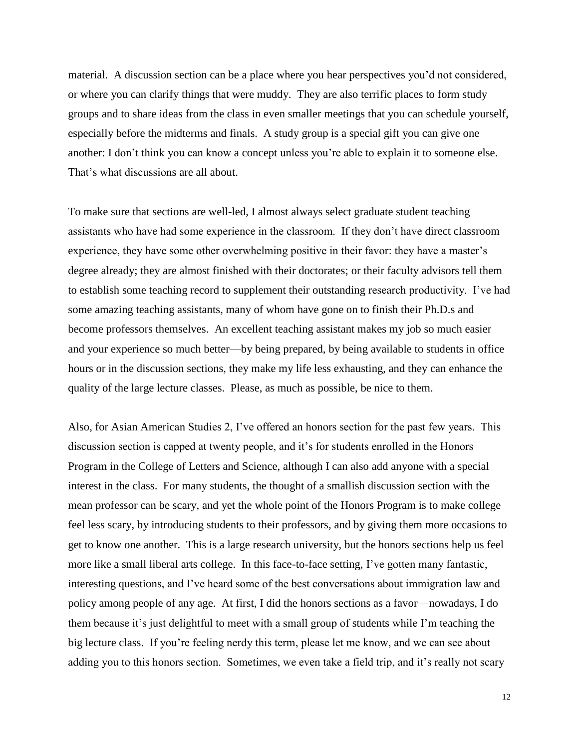material. A discussion section can be a place where you hear perspectives you'd not considered, or where you can clarify things that were muddy. They are also terrific places to form study groups and to share ideas from the class in even smaller meetings that you can schedule yourself, especially before the midterms and finals. A study group is a special gift you can give one another: I don't think you can know a concept unless you're able to explain it to someone else. That's what discussions are all about.

To make sure that sections are well-led, I almost always select graduate student teaching assistants who have had some experience in the classroom. If they don't have direct classroom experience, they have some other overwhelming positive in their favor: they have a master's degree already; they are almost finished with their doctorates; or their faculty advisors tell them to establish some teaching record to supplement their outstanding research productivity. I've had some amazing teaching assistants, many of whom have gone on to finish their Ph.D.s and become professors themselves. An excellent teaching assistant makes my job so much easier and your experience so much better—by being prepared, by being available to students in office hours or in the discussion sections, they make my life less exhausting, and they can enhance the quality of the large lecture classes. Please, as much as possible, be nice to them.

Also, for Asian American Studies 2, I've offered an honors section for the past few years. This discussion section is capped at twenty people, and it's for students enrolled in the Honors Program in the College of Letters and Science, although I can also add anyone with a special interest in the class. For many students, the thought of a smallish discussion section with the mean professor can be scary, and yet the whole point of the Honors Program is to make college feel less scary, by introducing students to their professors, and by giving them more occasions to get to know one another. This is a large research university, but the honors sections help us feel more like a small liberal arts college. In this face-to-face setting, I've gotten many fantastic, interesting questions, and I've heard some of the best conversations about immigration law and policy among people of any age. At first, I did the honors sections as a favor—nowadays, I do them because it's just delightful to meet with a small group of students while I'm teaching the big lecture class. If you're feeling nerdy this term, please let me know, and we can see about adding you to this honors section. Sometimes, we even take a field trip, and it's really not scary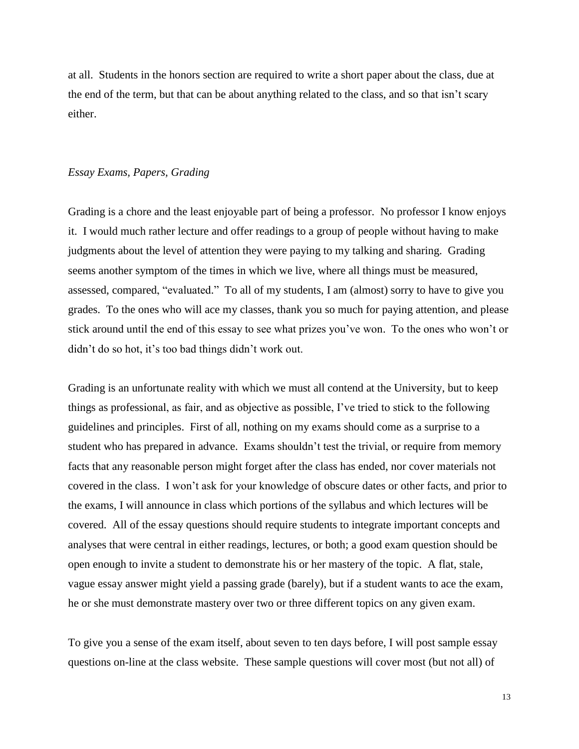at all. Students in the honors section are required to write a short paper about the class, due at the end of the term, but that can be about anything related to the class, and so that isn't scary either.

### *Essay Exams, Papers, Grading*

Grading is a chore and the least enjoyable part of being a professor. No professor I know enjoys it. I would much rather lecture and offer readings to a group of people without having to make judgments about the level of attention they were paying to my talking and sharing. Grading seems another symptom of the times in which we live, where all things must be measured, assessed, compared, "evaluated." To all of my students, I am (almost) sorry to have to give you grades. To the ones who will ace my classes, thank you so much for paying attention, and please stick around until the end of this essay to see what prizes you've won. To the ones who won't or didn't do so hot, it's too bad things didn't work out.

Grading is an unfortunate reality with which we must all contend at the University, but to keep things as professional, as fair, and as objective as possible, I've tried to stick to the following guidelines and principles. First of all, nothing on my exams should come as a surprise to a student who has prepared in advance. Exams shouldn't test the trivial, or require from memory facts that any reasonable person might forget after the class has ended, nor cover materials not covered in the class. I won't ask for your knowledge of obscure dates or other facts, and prior to the exams, I will announce in class which portions of the syllabus and which lectures will be covered. All of the essay questions should require students to integrate important concepts and analyses that were central in either readings, lectures, or both; a good exam question should be open enough to invite a student to demonstrate his or her mastery of the topic. A flat, stale, vague essay answer might yield a passing grade (barely), but if a student wants to ace the exam, he or she must demonstrate mastery over two or three different topics on any given exam.

To give you a sense of the exam itself, about seven to ten days before, I will post sample essay questions on-line at the class website. These sample questions will cover most (but not all) of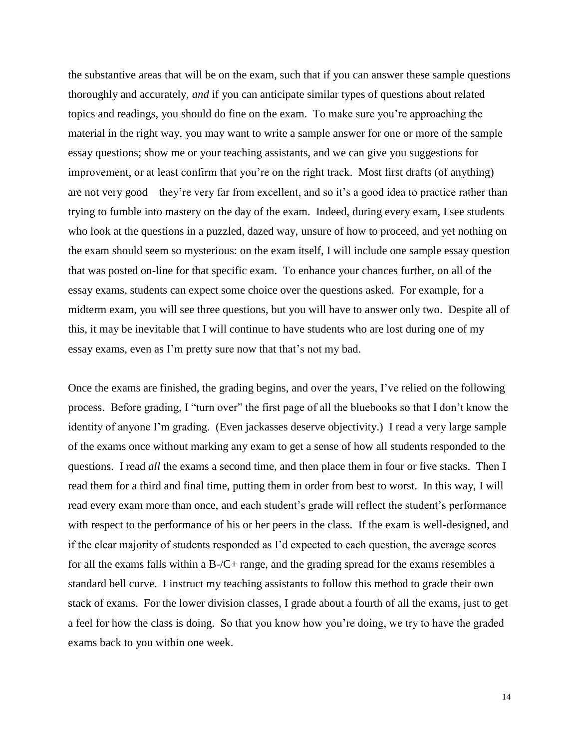the substantive areas that will be on the exam, such that if you can answer these sample questions thoroughly and accurately, *and* if you can anticipate similar types of questions about related topics and readings, you should do fine on the exam. To make sure you're approaching the material in the right way, you may want to write a sample answer for one or more of the sample essay questions; show me or your teaching assistants, and we can give you suggestions for improvement, or at least confirm that you're on the right track. Most first drafts (of anything) are not very good—they're very far from excellent, and so it's a good idea to practice rather than trying to fumble into mastery on the day of the exam. Indeed, during every exam, I see students who look at the questions in a puzzled, dazed way, unsure of how to proceed, and yet nothing on the exam should seem so mysterious: on the exam itself, I will include one sample essay question that was posted on-line for that specific exam. To enhance your chances further, on all of the essay exams, students can expect some choice over the questions asked. For example, for a midterm exam, you will see three questions, but you will have to answer only two. Despite all of this, it may be inevitable that I will continue to have students who are lost during one of my essay exams, even as I'm pretty sure now that that's not my bad.

Once the exams are finished, the grading begins, and over the years, I've relied on the following process. Before grading, I "turn over" the first page of all the bluebooks so that I don't know the identity of anyone I'm grading. (Even jackasses deserve objectivity.) I read a very large sample of the exams once without marking any exam to get a sense of how all students responded to the questions. I read *all* the exams a second time, and then place them in four or five stacks. Then I read them for a third and final time, putting them in order from best to worst. In this way, I will read every exam more than once, and each student's grade will reflect the student's performance with respect to the performance of his or her peers in the class. If the exam is well-designed, and if the clear majority of students responded as I'd expected to each question, the average scores for all the exams falls within a B-/C+ range, and the grading spread for the exams resembles a standard bell curve. I instruct my teaching assistants to follow this method to grade their own stack of exams. For the lower division classes, I grade about a fourth of all the exams, just to get a feel for how the class is doing. So that you know how you're doing, we try to have the graded exams back to you within one week.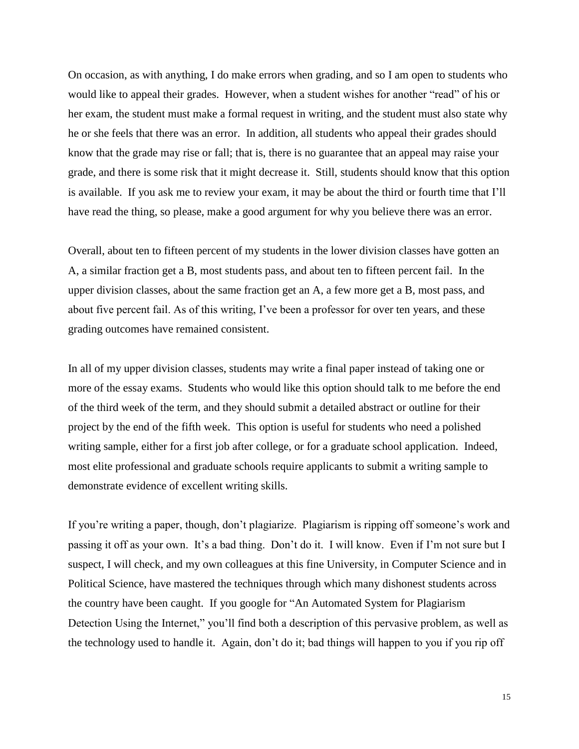On occasion, as with anything, I do make errors when grading, and so I am open to students who would like to appeal their grades. However, when a student wishes for another "read" of his or her exam, the student must make a formal request in writing, and the student must also state why he or she feels that there was an error. In addition, all students who appeal their grades should know that the grade may rise or fall; that is, there is no guarantee that an appeal may raise your grade, and there is some risk that it might decrease it. Still, students should know that this option is available. If you ask me to review your exam, it may be about the third or fourth time that I'll have read the thing, so please, make a good argument for why you believe there was an error.

Overall, about ten to fifteen percent of my students in the lower division classes have gotten an A, a similar fraction get a B, most students pass, and about ten to fifteen percent fail. In the upper division classes, about the same fraction get an A, a few more get a B, most pass, and about five percent fail. As of this writing, I've been a professor for over ten years, and these grading outcomes have remained consistent.

In all of my upper division classes, students may write a final paper instead of taking one or more of the essay exams. Students who would like this option should talk to me before the end of the third week of the term, and they should submit a detailed abstract or outline for their project by the end of the fifth week. This option is useful for students who need a polished writing sample, either for a first job after college, or for a graduate school application. Indeed, most elite professional and graduate schools require applicants to submit a writing sample to demonstrate evidence of excellent writing skills.

If you're writing a paper, though, don't plagiarize. Plagiarism is ripping off someone's work and passing it off as your own. It's a bad thing. Don't do it. I will know. Even if I'm not sure but I suspect, I will check, and my own colleagues at this fine University, in Computer Science and in Political Science, have mastered the techniques through which many dishonest students across the country have been caught. If you google for "An Automated System for Plagiarism Detection Using the Internet," you'll find both a description of this pervasive problem, as well as the technology used to handle it. Again, don't do it; bad things will happen to you if you rip off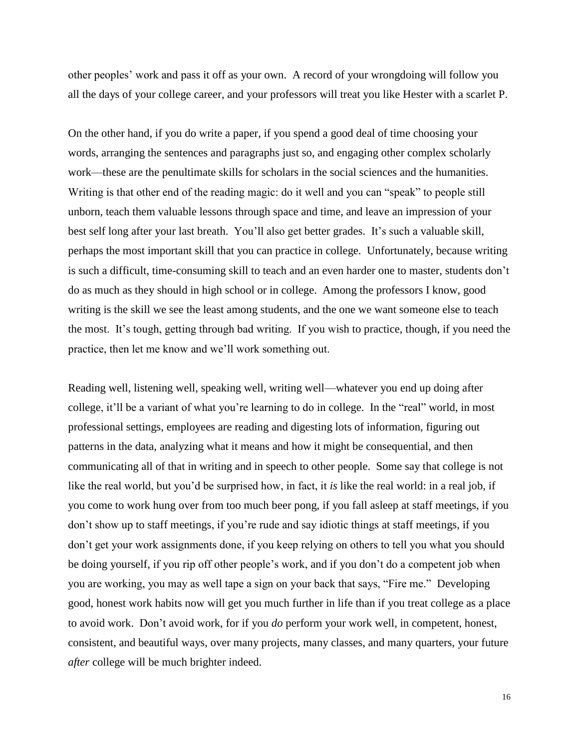other peoples' work and pass it off as your own. A record of your wrongdoing will follow you all the days of your college career, and your professors will treat you like Hester with a scarlet P.

On the other hand, if you do write a paper, if you spend a good deal of time choosing your words, arranging the sentences and paragraphs just so, and engaging other complex scholarly work—these are the penultimate skills for scholars in the social sciences and the humanities. Writing is that other end of the reading magic: do it well and you can "speak" to people still unborn, teach them valuable lessons through space and time, and leave an impression of your best self long after your last breath. You'll also get better grades. It's such a valuable skill, perhaps the most important skill that you can practice in college. Unfortunately, because writing is such a difficult, time-consuming skill to teach and an even harder one to master, students don't do as much as they should in high school or in college. Among the professors I know, good writing is the skill we see the least among students, and the one we want someone else to teach the most. It's tough, getting through bad writing. If you wish to practice, though, if you need the practice, then let me know and we'll work something out.

Reading well, listening well, speaking well, writing well—whatever you end up doing after college, it'll be a variant of what you're learning to do in college. In the "real" world, in most professional settings, employees are reading and digesting lots of information, figuring out patterns in the data, analyzing what it means and how it might be consequential, and then communicating all of that in writing and in speech to other people. Some say that college is not like the real world, but you'd be surprised how, in fact, it *is* like the real world: in a real job, if you come to work hung over from too much beer pong, if you fall asleep at staff meetings, if you don't show up to staff meetings, if you're rude and say idiotic things at staff meetings, if you don't get your work assignments done, if you keep relying on others to tell you what you should be doing yourself, if you rip off other people's work, and if you don't do a competent job when you are working, you may as well tape a sign on your back that says, "Fire me." Developing good, honest work habits now will get you much further in life than if you treat college as a place to avoid work. Don't avoid work, for if you *do* perform your work well, in competent, honest, consistent, and beautiful ways, over many projects, many classes, and many quarters, your future *after* college will be much brighter indeed.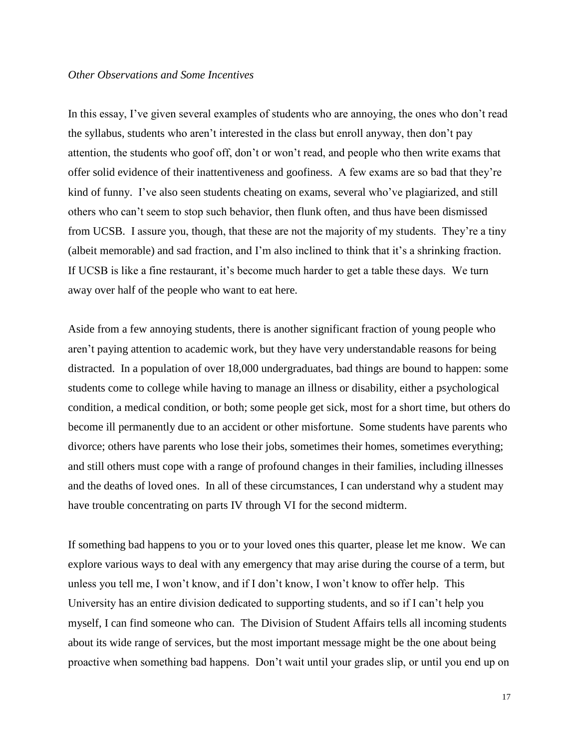### *Other Observations and Some Incentives*

In this essay, I've given several examples of students who are annoying, the ones who don't read the syllabus, students who aren't interested in the class but enroll anyway, then don't pay attention, the students who goof off, don't or won't read, and people who then write exams that offer solid evidence of their inattentiveness and goofiness. A few exams are so bad that they're kind of funny. I've also seen students cheating on exams, several who've plagiarized, and still others who can't seem to stop such behavior, then flunk often, and thus have been dismissed from UCSB. I assure you, though, that these are not the majority of my students. They're a tiny (albeit memorable) and sad fraction, and I'm also inclined to think that it's a shrinking fraction. If UCSB is like a fine restaurant, it's become much harder to get a table these days. We turn away over half of the people who want to eat here.

Aside from a few annoying students, there is another significant fraction of young people who aren't paying attention to academic work, but they have very understandable reasons for being distracted. In a population of over 18,000 undergraduates, bad things are bound to happen: some students come to college while having to manage an illness or disability, either a psychological condition, a medical condition, or both; some people get sick, most for a short time, but others do become ill permanently due to an accident or other misfortune. Some students have parents who divorce; others have parents who lose their jobs, sometimes their homes, sometimes everything; and still others must cope with a range of profound changes in their families, including illnesses and the deaths of loved ones. In all of these circumstances, I can understand why a student may have trouble concentrating on parts IV through VI for the second midterm.

If something bad happens to you or to your loved ones this quarter, please let me know. We can explore various ways to deal with any emergency that may arise during the course of a term, but unless you tell me, I won't know, and if I don't know, I won't know to offer help. This University has an entire division dedicated to supporting students, and so if I can't help you myself, I can find someone who can. The Division of Student Affairs tells all incoming students about its wide range of services, but the most important message might be the one about being proactive when something bad happens. Don't wait until your grades slip, or until you end up on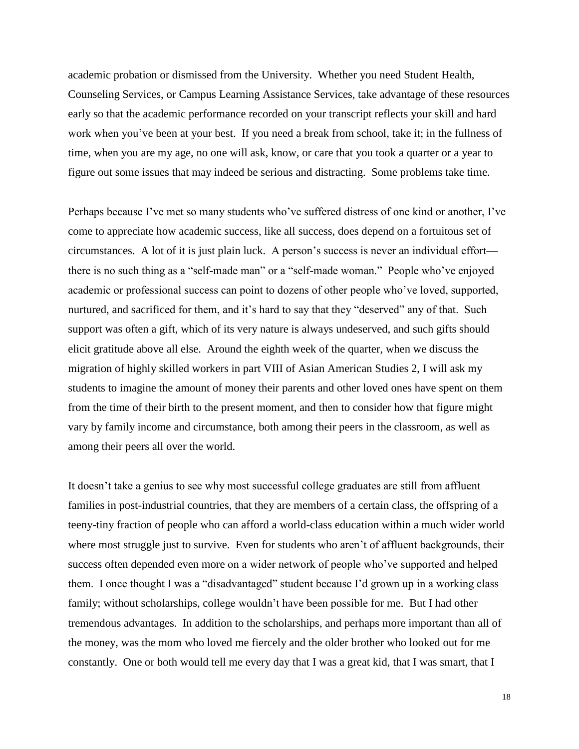academic probation or dismissed from the University. Whether you need Student Health, Counseling Services, or Campus Learning Assistance Services, take advantage of these resources early so that the academic performance recorded on your transcript reflects your skill and hard work when you've been at your best. If you need a break from school, take it; in the fullness of time, when you are my age, no one will ask, know, or care that you took a quarter or a year to figure out some issues that may indeed be serious and distracting. Some problems take time.

Perhaps because I've met so many students who've suffered distress of one kind or another, I've come to appreciate how academic success, like all success, does depend on a fortuitous set of circumstances. A lot of it is just plain luck. A person's success is never an individual effort there is no such thing as a "self-made man" or a "self-made woman." People who've enjoyed academic or professional success can point to dozens of other people who've loved, supported, nurtured, and sacrificed for them, and it's hard to say that they "deserved" any of that. Such support was often a gift, which of its very nature is always undeserved, and such gifts should elicit gratitude above all else. Around the eighth week of the quarter, when we discuss the migration of highly skilled workers in part VIII of Asian American Studies 2, I will ask my students to imagine the amount of money their parents and other loved ones have spent on them from the time of their birth to the present moment, and then to consider how that figure might vary by family income and circumstance, both among their peers in the classroom, as well as among their peers all over the world.

It doesn't take a genius to see why most successful college graduates are still from affluent families in post-industrial countries, that they are members of a certain class, the offspring of a teeny-tiny fraction of people who can afford a world-class education within a much wider world where most struggle just to survive. Even for students who aren't of affluent backgrounds, their success often depended even more on a wider network of people who've supported and helped them. I once thought I was a "disadvantaged" student because I'd grown up in a working class family; without scholarships, college wouldn't have been possible for me. But I had other tremendous advantages. In addition to the scholarships, and perhaps more important than all of the money, was the mom who loved me fiercely and the older brother who looked out for me constantly. One or both would tell me every day that I was a great kid, that I was smart, that I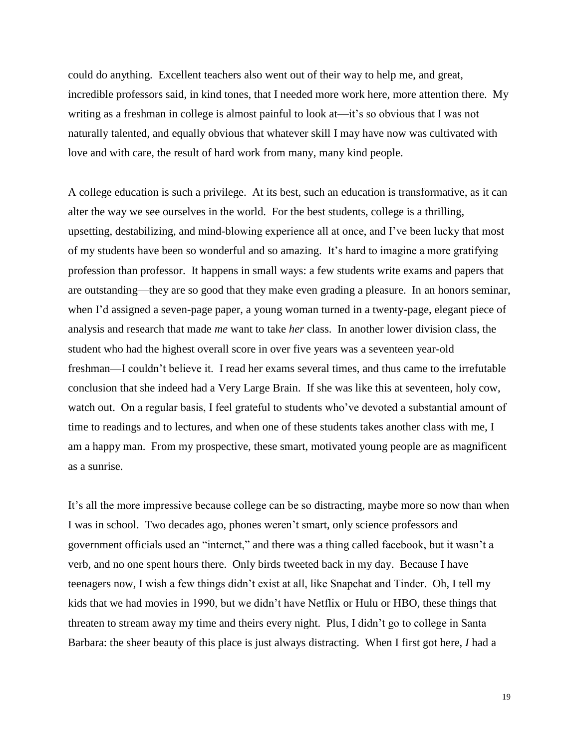could do anything. Excellent teachers also went out of their way to help me, and great, incredible professors said, in kind tones, that I needed more work here, more attention there. My writing as a freshman in college is almost painful to look at—it's so obvious that I was not naturally talented, and equally obvious that whatever skill I may have now was cultivated with love and with care, the result of hard work from many, many kind people.

A college education is such a privilege. At its best, such an education is transformative, as it can alter the way we see ourselves in the world. For the best students, college is a thrilling, upsetting, destabilizing, and mind-blowing experience all at once, and I've been lucky that most of my students have been so wonderful and so amazing. It's hard to imagine a more gratifying profession than professor. It happens in small ways: a few students write exams and papers that are outstanding—they are so good that they make even grading a pleasure. In an honors seminar, when I'd assigned a seven-page paper, a young woman turned in a twenty-page, elegant piece of analysis and research that made *me* want to take *her* class. In another lower division class, the student who had the highest overall score in over five years was a seventeen year-old freshman—I couldn't believe it. I read her exams several times, and thus came to the irrefutable conclusion that she indeed had a Very Large Brain. If she was like this at seventeen, holy cow, watch out. On a regular basis, I feel grateful to students who've devoted a substantial amount of time to readings and to lectures, and when one of these students takes another class with me, I am a happy man. From my prospective, these smart, motivated young people are as magnificent as a sunrise.

It's all the more impressive because college can be so distracting, maybe more so now than when I was in school. Two decades ago, phones weren't smart, only science professors and government officials used an "internet," and there was a thing called facebook, but it wasn't a verb, and no one spent hours there. Only birds tweeted back in my day. Because I have teenagers now, I wish a few things didn't exist at all, like Snapchat and Tinder. Oh, I tell my kids that we had movies in 1990, but we didn't have Netflix or Hulu or HBO, these things that threaten to stream away my time and theirs every night. Plus, I didn't go to college in Santa Barbara: the sheer beauty of this place is just always distracting. When I first got here, *I* had a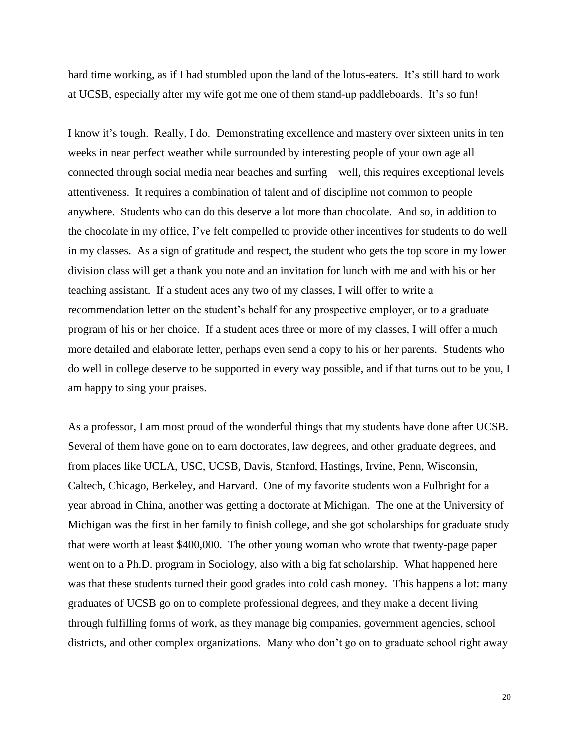hard time working, as if I had stumbled upon the land of the lotus-eaters. It's still hard to work at UCSB, especially after my wife got me one of them stand-up paddleboards. It's so fun!

I know it's tough. Really, I do. Demonstrating excellence and mastery over sixteen units in ten weeks in near perfect weather while surrounded by interesting people of your own age all connected through social media near beaches and surfing—well, this requires exceptional levels attentiveness. It requires a combination of talent and of discipline not common to people anywhere. Students who can do this deserve a lot more than chocolate. And so, in addition to the chocolate in my office, I've felt compelled to provide other incentives for students to do well in my classes. As a sign of gratitude and respect, the student who gets the top score in my lower division class will get a thank you note and an invitation for lunch with me and with his or her teaching assistant. If a student aces any two of my classes, I will offer to write a recommendation letter on the student's behalf for any prospective employer, or to a graduate program of his or her choice. If a student aces three or more of my classes, I will offer a much more detailed and elaborate letter, perhaps even send a copy to his or her parents. Students who do well in college deserve to be supported in every way possible, and if that turns out to be you, I am happy to sing your praises.

As a professor, I am most proud of the wonderful things that my students have done after UCSB. Several of them have gone on to earn doctorates, law degrees, and other graduate degrees, and from places like UCLA, USC, UCSB, Davis, Stanford, Hastings, Irvine, Penn, Wisconsin, Caltech, Chicago, Berkeley, and Harvard. One of my favorite students won a Fulbright for a year abroad in China, another was getting a doctorate at Michigan. The one at the University of Michigan was the first in her family to finish college, and she got scholarships for graduate study that were worth at least \$400,000. The other young woman who wrote that twenty-page paper went on to a Ph.D. program in Sociology, also with a big fat scholarship. What happened here was that these students turned their good grades into cold cash money. This happens a lot: many graduates of UCSB go on to complete professional degrees, and they make a decent living through fulfilling forms of work, as they manage big companies, government agencies, school districts, and other complex organizations. Many who don't go on to graduate school right away